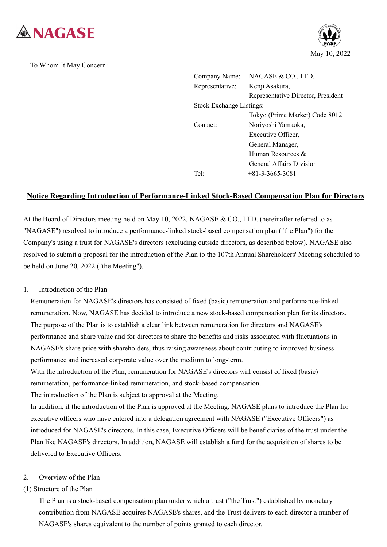

To Whom It May Concern:



| Company Name:                   | NAGASE & CO., LTD.                 |
|---------------------------------|------------------------------------|
| Representative:                 | Kenji Asakura,                     |
|                                 | Representative Director, President |
| <b>Stock Exchange Listings:</b> |                                    |
|                                 | Tokyo (Prime Market) Code 8012     |
| Contact:                        | Noriyoshi Yamaoka,                 |
|                                 | Executive Officer,                 |
|                                 | General Manager,                   |
|                                 | Human Resources $\&$               |
|                                 | <b>General Affairs Division</b>    |
| Tel:                            | $+81 - 3 - 3665 - 3081$            |
|                                 |                                    |

# **Notice Regarding Introduction of Performance-Linked Stock-Based Compensation Plan for Directors**

At the Board of Directors meeting held on May 10, 2022, NAGASE & CO., LTD. (hereinafter referred to as "NAGASE") resolved to introduce a performance-linked stock-based compensation plan ("the Plan") for the Company's using a trust for NAGASE's directors (excluding outside directors, as described below). NAGASE also resolved to submit a proposal for the introduction of the Plan to the 107th Annual Shareholders' Meeting scheduled to be held on June 20, 2022 ("the Meeting").

### 1. Introduction of the Plan

Remuneration for NAGASE's directors has consisted of fixed (basic) remuneration and performance-linked remuneration. Now, NAGASE has decided to introduce a new stock-based compensation plan for its directors. The purpose of the Plan is to establish a clear link between remuneration for directors and NAGASE's performance and share value and for directors to share the benefits and risks associated with fluctuations in NAGASE's share price with shareholders, thus raising awareness about contributing to improved business performance and increased corporate value over the medium to long-term.

With the introduction of the Plan, remuneration for NAGASE's directors will consist of fixed (basic) remuneration, performance-linked remuneration, and stock-based compensation. The introduction of the Plan is subject to approval at the Meeting.

In addition, if the introduction of the Plan is approved at the Meeting, NAGASE plans to introduce the Plan for executive officers who have entered into a delegation agreement with NAGASE ("Executive Officers") as introduced for NAGASE's directors. In this case, Executive Officers will be beneficiaries of the trust under the Plan like NAGASE's directors. In addition, NAGASE will establish a fund for the acquisition of shares to be delivered to Executive Officers.

### 2. Overview of the Plan

## (1) Structure of the Plan

The Plan is a stock-based compensation plan under which a trust ("the Trust") established by monetary contribution from NAGASE acquires NAGASE's shares, and the Trust delivers to each director a number of NAGASE's shares equivalent to the number of points granted to each director.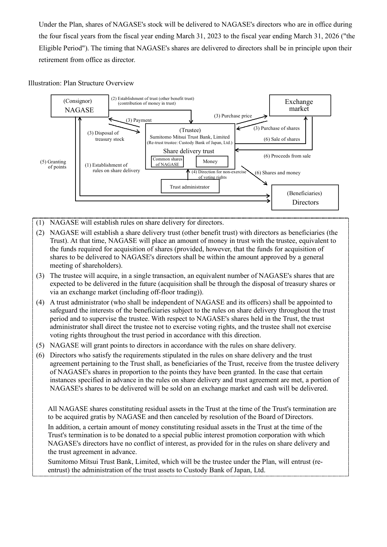Under the Plan, shares of NAGASE's stock will be delivered to NAGASE's directors who are in office during the four fiscal years from the fiscal year ending March 31, 2023 to the fiscal year ending March 31, 2026 ("the Eligible Period"). The timing that NAGASE's shares are delivered to directors shall be in principle upon their retirement from office as director.

### Illustration: Plan Structure Overview



- (1) NAGASE will establish rules on share delivery for directors.
- (2) NAGASE will establish a share delivery trust (other benefit trust) with directors as beneficiaries (the Trust). At that time, NAGASE will place an amount of money in trust with the trustee, equivalent to the funds required for acquisition of shares (provided, however, that the funds for acquisition of shares to be delivered to NAGASE's directors shall be within the amount approved by a general meeting of shareholders).
- (3) The trustee will acquire, in a single transaction, an equivalent number of NAGASE's shares that are expected to be delivered in the future (acquisition shall be through the disposal of treasury shares or via an exchange market (including off-floor trading)).
- (4) A trust administrator (who shall be independent of NAGASE and its officers) shall be appointed to safeguard the interests of the beneficiaries subject to the rules on share delivery throughout the trust period and to supervise the trustee. With respect to NAGASE's shares held in the Trust, the trust administrator shall direct the trustee not to exercise voting rights, and the trustee shall not exercise voting rights throughout the trust period in accordance with this direction.
- (5) NAGASE will grant points to directors in accordance with the rules on share delivery.
- (6) Directors who satisfy the requirements stipulated in the rules on share delivery and the trust agreement pertaining to the Trust shall, as beneficiaries of the Trust, receive from the trustee delivery of NAGASE's shares in proportion to the points they have been granted. In the case that certain instances specified in advance in the rules on share delivery and trust agreement are met, a portion of NAGASE's shares to be delivered will be sold on an exchange market and cash will be delivered.

All NAGASE shares constituting residual assets in the Trust at the time of the Trust's termination are to be acquired gratis by NAGASE and then canceled by resolution of the Board of Directors.

In addition, a certain amount of money constituting residual assets in the Trust at the time of the Trust's termination is to be donated to a special public interest promotion corporation with which NAGASE's directors have no conflict of interest, as provided for in the rules on share delivery and the trust agreement in advance.

Sumitomo Mitsui Trust Bank, Limited, which will be the trustee under the Plan, will entrust (reentrust) the administration of the trust assets to Custody Bank of Japan, Ltd.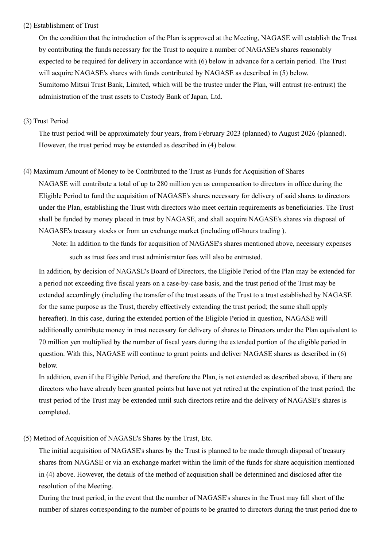### (2) Establishment of Trust

On the condition that the introduction of the Plan is approved at the Meeting, NAGASE will establish the Trust by contributing the funds necessary for the Trust to acquire a number of NAGASE's shares reasonably expected to be required for delivery in accordance with (6) below in advance for a certain period. The Trust will acquire NAGASE's shares with funds contributed by NAGASE as described in (5) below. Sumitomo Mitsui Trust Bank, Limited, which will be the trustee under the Plan, will entrust (re-entrust) the administration of the trust assets to Custody Bank of Japan, Ltd.

### (3) Trust Period

The trust period will be approximately four years, from February 2023 (planned) to August 2026 (planned). However, the trust period may be extended as described in (4) below.

### (4) Maximum Amount of Money to be Contributed to the Trust as Funds for Acquisition of Shares

NAGASE will contribute a total of up to 280 million yen as compensation to directors in office during the Eligible Period to fund the acquisition of NAGASE's shares necessary for delivery of said shares to directors under the Plan, establishing the Trust with directors who meet certain requirements as beneficiaries. The Trust shall be funded by money placed in trust by NAGASE, and shall acquire NAGASE's shares via disposal of NAGASE's treasury stocks or from an exchange market (including off-hours trading ).

 Note: In addition to the funds for acquisition of NAGASE's shares mentioned above, necessary expenses such as trust fees and trust administrator fees will also be entrusted.

In addition, by decision of NAGASE's Board of Directors, the Eligible Period of the Plan may be extended for a period not exceeding five fiscal years on a case-by-case basis, and the trust period of the Trust may be extended accordingly (including the transfer of the trust assets of the Trust to a trust established by NAGASE for the same purpose as the Trust, thereby effectively extending the trust period; the same shall apply hereafter). In this case, during the extended portion of the Eligible Period in question, NAGASE will additionally contribute money in trust necessary for delivery of shares to Directors under the Plan equivalent to 70 million yen multiplied by the number of fiscal years during the extended portion of the eligible period in question. With this, NAGASE will continue to grant points and deliver NAGASE shares as described in (6) below.

In addition, even if the Eligible Period, and therefore the Plan, is not extended as described above, if there are directors who have already been granted points but have not yet retired at the expiration of the trust period, the trust period of the Trust may be extended until such directors retire and the delivery of NAGASE's shares is completed.

## (5) Method of Acquisition of NAGASE's Shares by the Trust, Etc.

The initial acquisition of NAGASE's shares by the Trust is planned to be made through disposal of treasury shares from NAGASE or via an exchange market within the limit of the funds for share acquisition mentioned in (4) above. However, the details of the method of acquisition shall be determined and disclosed after the resolution of the Meeting.

During the trust period, in the event that the number of NAGASE's shares in the Trust may fall short of the number of shares corresponding to the number of points to be granted to directors during the trust period due to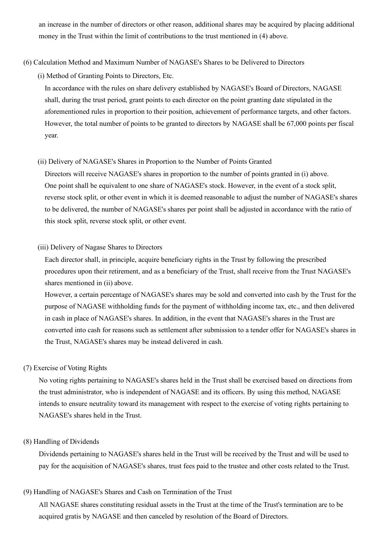an increase in the number of directors or other reason, additional shares may be acquired by placing additional money in the Trust within the limit of contributions to the trust mentioned in (4) above.

### (6) Calculation Method and Maximum Number of NAGASE's Shares to be Delivered to Directors

(i) Method of Granting Points to Directors, Etc.

In accordance with the rules on share delivery established by NAGASE's Board of Directors, NAGASE shall, during the trust period, grant points to each director on the point granting date stipulated in the aforementioned rules in proportion to their position, achievement of performance targets, and other factors. However, the total number of points to be granted to directors by NAGASE shall be 67,000 points per fiscal year.

### (ii) Delivery of NAGASE's Shares in Proportion to the Number of Points Granted

Directors will receive NAGASE's shares in proportion to the number of points granted in (i) above. One point shall be equivalent to one share of NAGASE's stock. However, in the event of a stock split, reverse stock split, or other event in which it is deemed reasonable to adjust the number of NAGASE's shares to be delivered, the number of NAGASE's shares per point shall be adjusted in accordance with the ratio of this stock split, reverse stock split, or other event.

### (iii) Delivery of Nagase Shares to Directors

Each director shall, in principle, acquire beneficiary rights in the Trust by following the prescribed procedures upon their retirement, and as a beneficiary of the Trust, shall receive from the Trust NAGASE's shares mentioned in (ii) above.

However, a certain percentage of NAGASE's shares may be sold and converted into cash by the Trust for the purpose of NAGASE withholding funds for the payment of withholding income tax, etc., and then delivered in cash in place of NAGASE's shares. In addition, in the event that NAGASE's shares in the Trust are converted into cash for reasons such as settlement after submission to a tender offer for NAGASE's shares in the Trust, NAGASE's shares may be instead delivered in cash.

### (7) Exercise of Voting Rights

No voting rights pertaining to NAGASE's shares held in the Trust shall be exercised based on directions from the trust administrator, who is independent of NAGASE and its officers. By using this method, NAGASE intends to ensure neutrality toward its management with respect to the exercise of voting rights pertaining to NAGASE's shares held in the Trust.

#### (8) Handling of Dividends

Dividends pertaining to NAGASE's shares held in the Trust will be received by the Trust and will be used to pay for the acquisition of NAGASE's shares, trust fees paid to the trustee and other costs related to the Trust.

#### (9) Handling of NAGASE's Shares and Cash on Termination of the Trust

All NAGASE shares constituting residual assets in the Trust at the time of the Trust's termination are to be acquired gratis by NAGASE and then canceled by resolution of the Board of Directors.